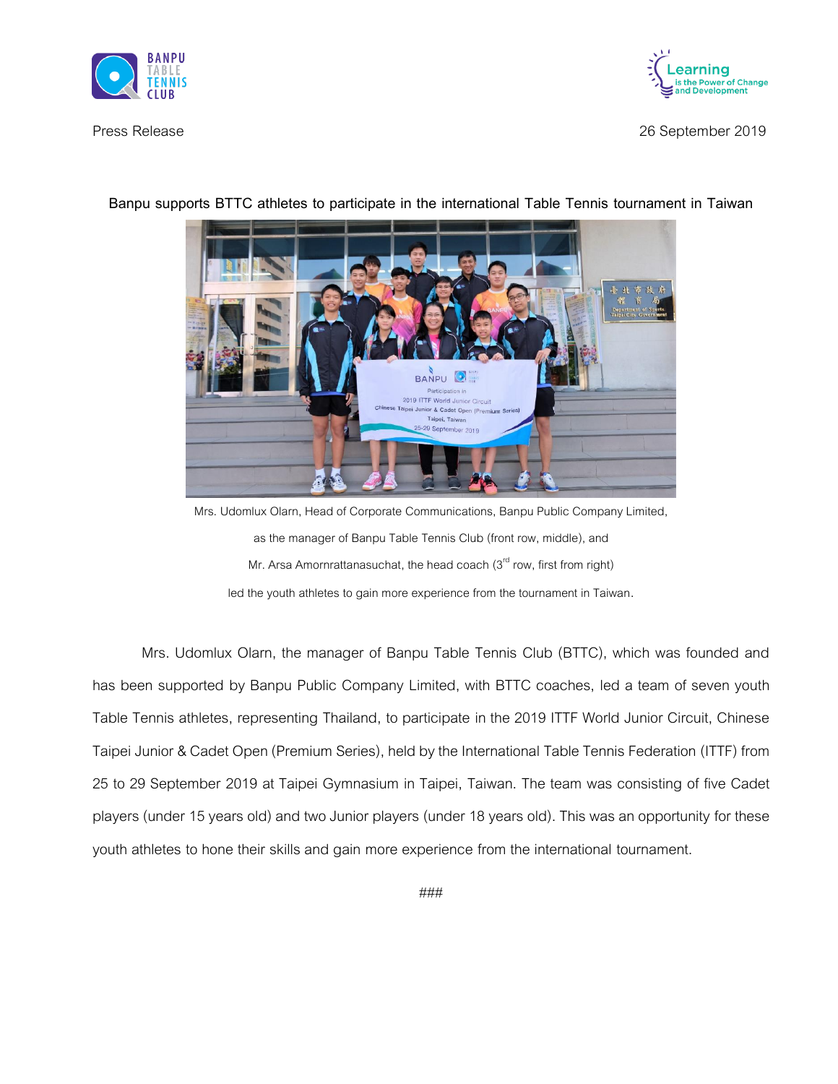



Press Release 26 September 2019



**Banpu supports BTTC athletes to participate in the international Table Tennis tournament in Taiwan**

Mrs. Udomlux Olarn, Head of Corporate Communications, Banpu Public Company Limited, as the manager of Banpu Table Tennis Club (front row, middle), and Mr. Arsa Amornrattanasuchat, the head coach  $(3<sup>rd</sup>$  row, first from right) led the youth athletes to gain more experience from the tournament in Taiwan.

Mrs. Udomlux Olarn, the manager of Banpu Table Tennis Club (BTTC), which was founded and has been supported by Banpu Public Company Limited, with BTTC coaches, led a team of seven youth Table Tennis athletes, representing Thailand, to participate in the 2019 ITTF World Junior Circuit, Chinese Taipei Junior & Cadet Open (Premium Series), held by the International Table Tennis Federation (ITTF) from 25 to 29 September 2019 at Taipei Gymnasium in Taipei, Taiwan. The team was consisting of five Cadet players (under 15 years old) and two Junior players (under 18 years old). This was an opportunity for these youth athletes to hone their skills and gain more experience from the international tournament.